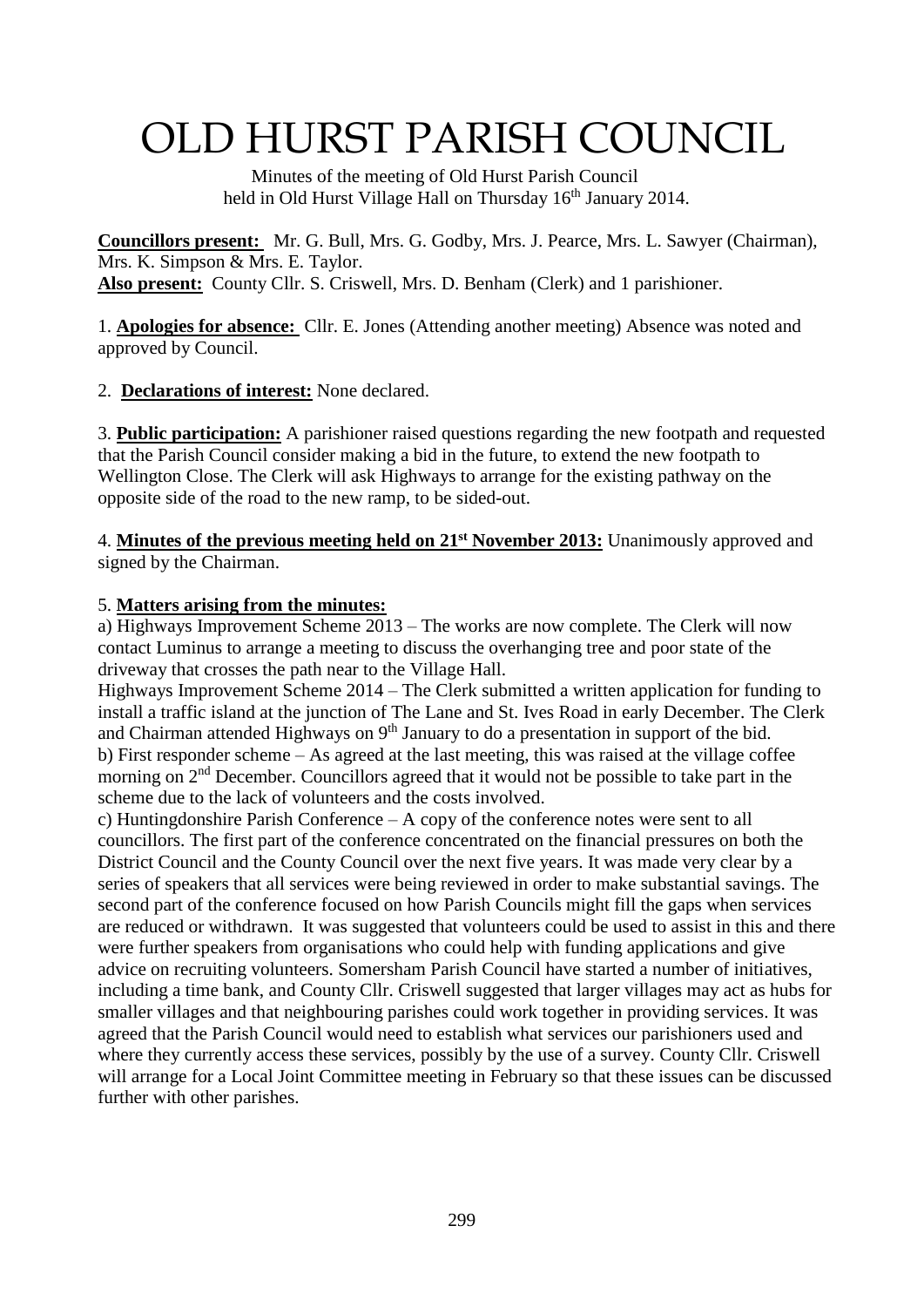# OLD HURST PARISH COUNCIL

 Minutes of the meeting of Old Hurst Parish Council held in Old Hurst Village Hall on Thursday 16<sup>th</sup> January 2014.

**Councillors present:** Mr. G. Bull, Mrs. G. Godby, Mrs. J. Pearce, Mrs. L. Sawyer (Chairman), Mrs. K. Simpson & Mrs. E. Taylor. **Also present:** County Cllr. S. Criswell, Mrs. D. Benham (Clerk) and 1 parishioner.

1. **Apologies for absence:** Cllr. E. Jones (Attending another meeting) Absence was noted and approved by Council.

2. **Declarations of interest:** None declared.

3. **Public participation:** A parishioner raised questions regarding the new footpath and requested that the Parish Council consider making a bid in the future, to extend the new footpath to Wellington Close. The Clerk will ask Highways to arrange for the existing pathway on the opposite side of the road to the new ramp, to be sided-out.

4. **Minutes of the previous meeting held on 21st November 2013:** Unanimously approved and signed by the Chairman.

#### 5. **Matters arising from the minutes:**

a) Highways Improvement Scheme 2013 – The works are now complete. The Clerk will now contact Luminus to arrange a meeting to discuss the overhanging tree and poor state of the driveway that crosses the path near to the Village Hall.

Highways Improvement Scheme 2014 – The Clerk submitted a written application for funding to install a traffic island at the junction of The Lane and St. Ives Road in early December. The Clerk and Chairman attended Highways on  $9<sup>th</sup>$  January to do a presentation in support of the bid. b) First responder scheme – As agreed at the last meeting, this was raised at the village coffee morning on 2<sup>nd</sup> December. Councillors agreed that it would not be possible to take part in the scheme due to the lack of volunteers and the costs involved.

c) Huntingdonshire Parish Conference – A copy of the conference notes were sent to all councillors. The first part of the conference concentrated on the financial pressures on both the District Council and the County Council over the next five years. It was made very clear by a series of speakers that all services were being reviewed in order to make substantial savings. The second part of the conference focused on how Parish Councils might fill the gaps when services are reduced or withdrawn. It was suggested that volunteers could be used to assist in this and there were further speakers from organisations who could help with funding applications and give advice on recruiting volunteers. Somersham Parish Council have started a number of initiatives, including a time bank, and County Cllr. Criswell suggested that larger villages may act as hubs for smaller villages and that neighbouring parishes could work together in providing services. It was agreed that the Parish Council would need to establish what services our parishioners used and where they currently access these services, possibly by the use of a survey. County Cllr. Criswell will arrange for a Local Joint Committee meeting in February so that these issues can be discussed further with other parishes.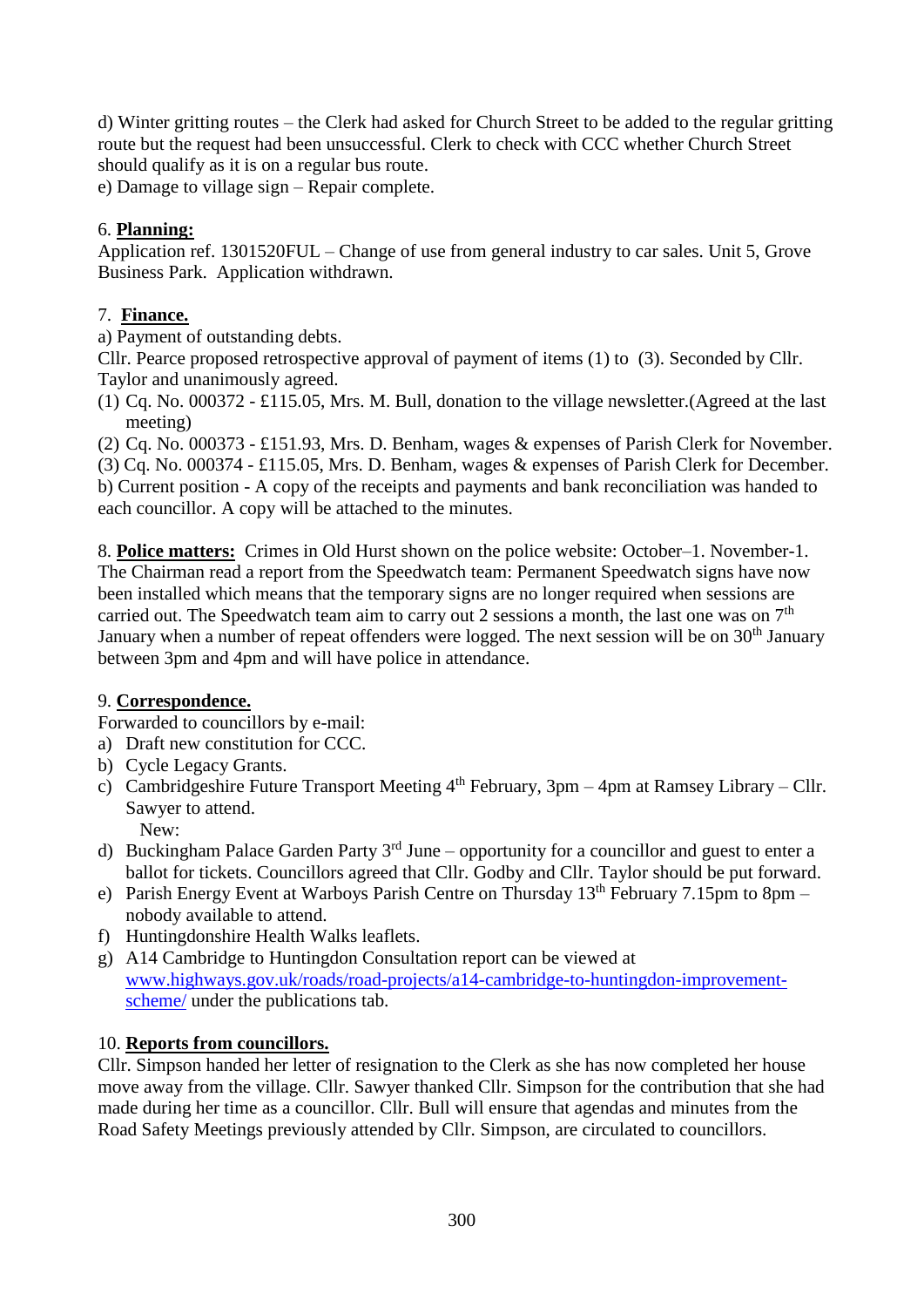d) Winter gritting routes – the Clerk had asked for Church Street to be added to the regular gritting route but the request had been unsuccessful. Clerk to check with CCC whether Church Street should qualify as it is on a regular bus route.

e) Damage to village sign – Repair complete.

### 6. **Planning:**

Application ref. 1301520FUL – Change of use from general industry to car sales. Unit 5, Grove Business Park. Application withdrawn.

#### 7. **Finance.**

a) Payment of outstanding debts.

Cllr. Pearce proposed retrospective approval of payment of items (1) to (3). Seconded by Cllr. Taylor and unanimously agreed.

(1) Cq. No. 000372 - £115.05, Mrs. M. Bull, donation to the village newsletter.(Agreed at the last meeting)

(2) Cq. No. 000373 - £151.93, Mrs. D. Benham, wages & expenses of Parish Clerk for November. (3) Cq. No. 000374 - £115.05, Mrs. D. Benham, wages & expenses of Parish Clerk for December. b) Current position - A copy of the receipts and payments and bank reconciliation was handed to each councillor. A copy will be attached to the minutes.

8. **Police matters:** Crimes in Old Hurst shown on the police website: October–1. November-1. The Chairman read a report from the Speedwatch team: Permanent Speedwatch signs have now been installed which means that the temporary signs are no longer required when sessions are carried out. The Speedwatch team aim to carry out 2 sessions a month, the last one was on  $7<sup>th</sup>$ January when a number of repeat offenders were logged. The next session will be on 30<sup>th</sup> January between 3pm and 4pm and will have police in attendance.

#### 9. **Correspondence.**

Forwarded to councillors by e-mail:

- a) Draft new constitution for CCC.
- b) Cycle Legacy Grants.
- c) Cambridgeshire Future Transport Meeting  $4<sup>th</sup>$  February, 3pm 4pm at Ramsey Library Cllr. Sawyer to attend. New:
- d) Buckingham Palace Garden Party  $3<sup>rd</sup>$  June opportunity for a councillor and guest to enter a ballot for tickets. Councillors agreed that Cllr. Godby and Cllr. Taylor should be put forward.
- e) Parish Energy Event at Warboys Parish Centre on Thursday 13th February 7.15pm to 8pm nobody available to attend.
- f) Huntingdonshire Health Walks leaflets.
- g) A14 Cambridge to Huntingdon Consultation report can be viewed at [www.highways.gov.uk/roads/road-projects/a14-cambridge-to-huntingdon-improvement](http://www.highways.gov.uk/roads/road-projects/a14-cambridge-to-huntingdon-improvement-scheme/)[scheme/](http://www.highways.gov.uk/roads/road-projects/a14-cambridge-to-huntingdon-improvement-scheme/) under the publications tab.

## 10. **Reports from councillors.**

Cllr. Simpson handed her letter of resignation to the Clerk as she has now completed her house move away from the village. Cllr. Sawyer thanked Cllr. Simpson for the contribution that she had made during her time as a councillor. Cllr. Bull will ensure that agendas and minutes from the Road Safety Meetings previously attended by Cllr. Simpson, are circulated to councillors.